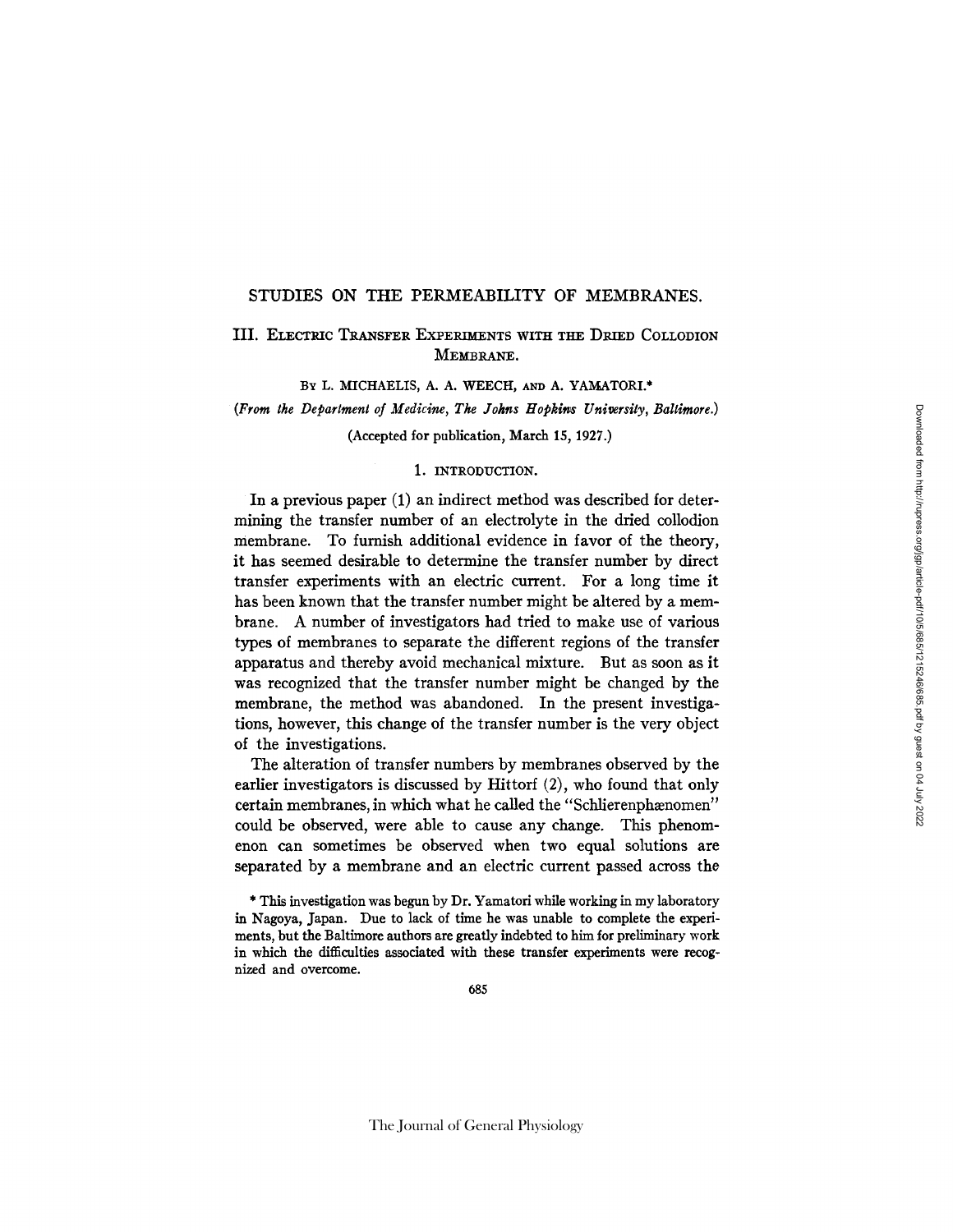## STUDIES ON THE PERMEABILITY OF MEMBRANES.

# III. ELECTRIC TRANSFER EXPERIMENTS WITH THE DRIED COLLODION MEMBRANE.

BY L. MICHAELIS, A. A. WEECH, AND A. YAMATORI.\*

(From the Department of Medicine, The Johns Hopkins University, Baltimore.)

(Accepted for publication, March 15, 1927.)

## 1. INTRODUCTION.

In a previous paper (1) an indirect method was described for determining the transfer number of an electrolyte in the dried collodion membrane. To furnish additional evidence in favor of the theory, it has seemed desirable to determine the transfer number by direct transfer experiments with an electric current. For a long time it has been known that the transfer number might be altered by a membrane. A number of investigators had tried to make use of various types of membranes to separate the different regions of the transfer apparatus and thereby avoid mechanical mixture. But as soon as it was recognized that the transfer number might be changed by the membrane, the method was abandoned. In the present investigations, however, this change of the transfer number is the very object of the investigations.

The alteration of transfer numbers by membranes observed by the earlier investigators is discussed by Hittorf (2), who found that only certain membranes, in which what he called the "Schlierenphænomen" could be observed, were able to cause any change. This phenomenon can sometimes be observed when two equal solutions are separated by a membrane and an electric current passed across the

<sup>\*</sup> This investigation was begun by Dr. Yamatori while working in my laboratory in Nagoya, Japan. Due to lack of time he was unable to complete the experiments, but the Baltimore authors are greatly indebted to him for preliminary work in which the difficulties associated with these transfer experiments were recognized and overcome.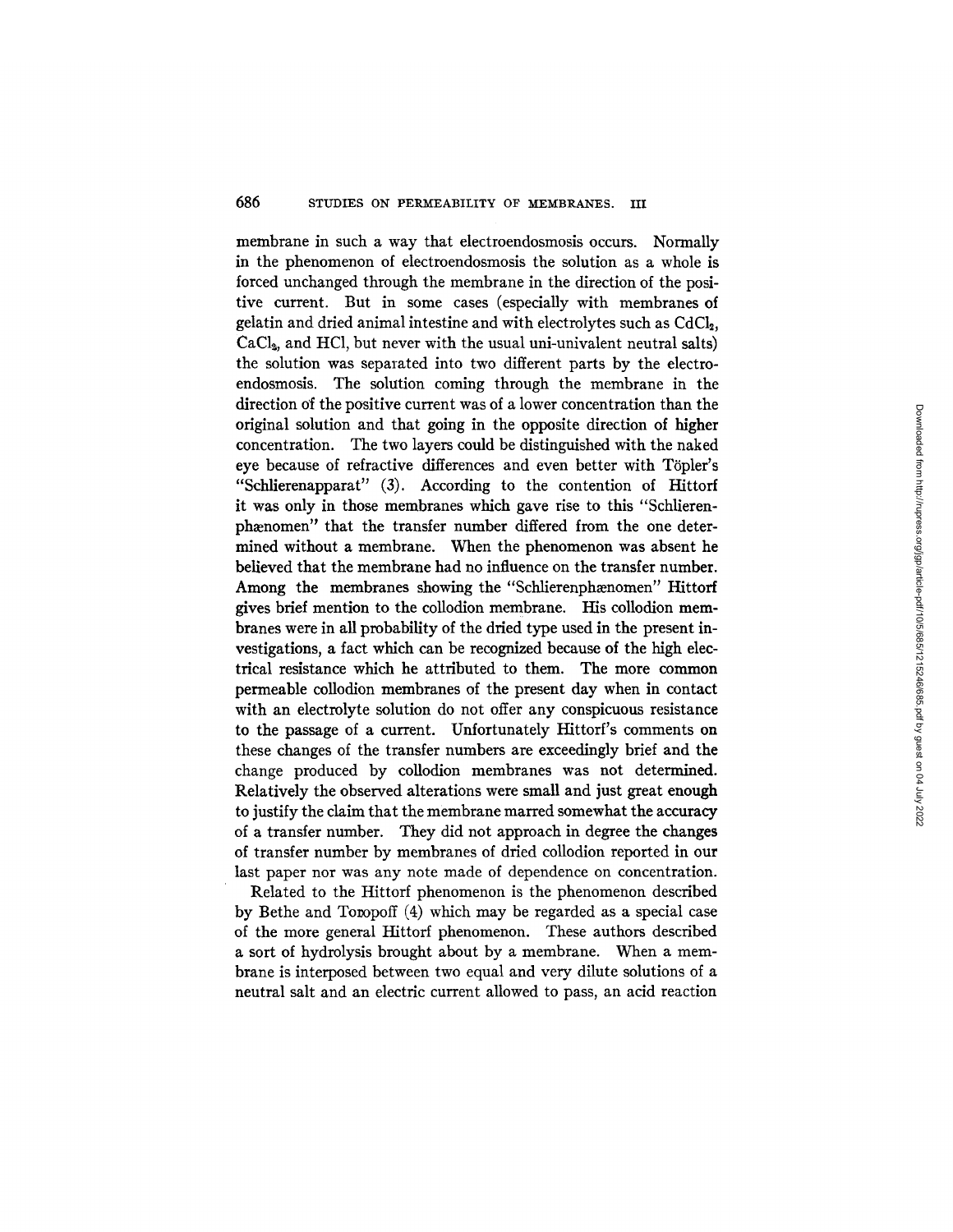membrane in such a way that electroendosmosis occurs. Normally in the phenomenon of electroendosmosis the solution as a whole is forced unchanged through the membrane in the direction of the positive current. But in some cases (especially with membranes of gelatin and dried animal intestine and with electrolytes such as  $CdCl<sub>2</sub>$ ,  $CaCl<sub>2</sub>$ , and HCl, but never with the usual uni-univalent neutral salts) the solution was separated into two different parts by the electroendosmosis. The solution coming through the membrane in the direction of the positive current was of a lower concentration than the original solution and that going in the opposite direction of higher concentration. The two layers could be distinguished with the naked eye because of refractive differences and even better with Töpler's "Schlierenapparat" (3). According to the contention of Hittorf it was only in those membranes which gave rise to this "Schlierenphænomen" that the transfer number differed from the one determined without a membrane. When the phenomenon was absent he believed that the membrane had no influence on the transfer number. Among the membranes showing the "Schlierenphænomen" Hittorf gives brief mention to the collodion membrane. His collodion membranes were in all probability of the dried type used in the present investigations, a fact which can be recognized because of the high electrical resistance which he attributed to them. The more common permeable collodion membranes of the present day when in contact with an electrolyte solution do not offer any conspicuous resistance to the passage of a current. Unfortunately Hittorf's comments on these changes of the transfer numbers are exceedingly brief and the change produced by collodion membranes was not determined. Relatively the observed alterations were small and just great enough to justify the claim that the membrane marred somewhat the accuracy of a transfer number. They did not approach in degree the changes of transfer number by membranes of dried collodion reported in our last paper nor was any note made of dependence on concentration.

Related to the Hittorf phenomenon is the phenomenon described by Bethe and Tompoff (4) which may be regarded as a special case of the more general Hittorf phenomenon. These authors described a sort of hydrolysis brought about by a membrane. When a membrane is interposed between two equal and very dilute solutions of a neutral salt and an electric current allowed to pass, an acid reaction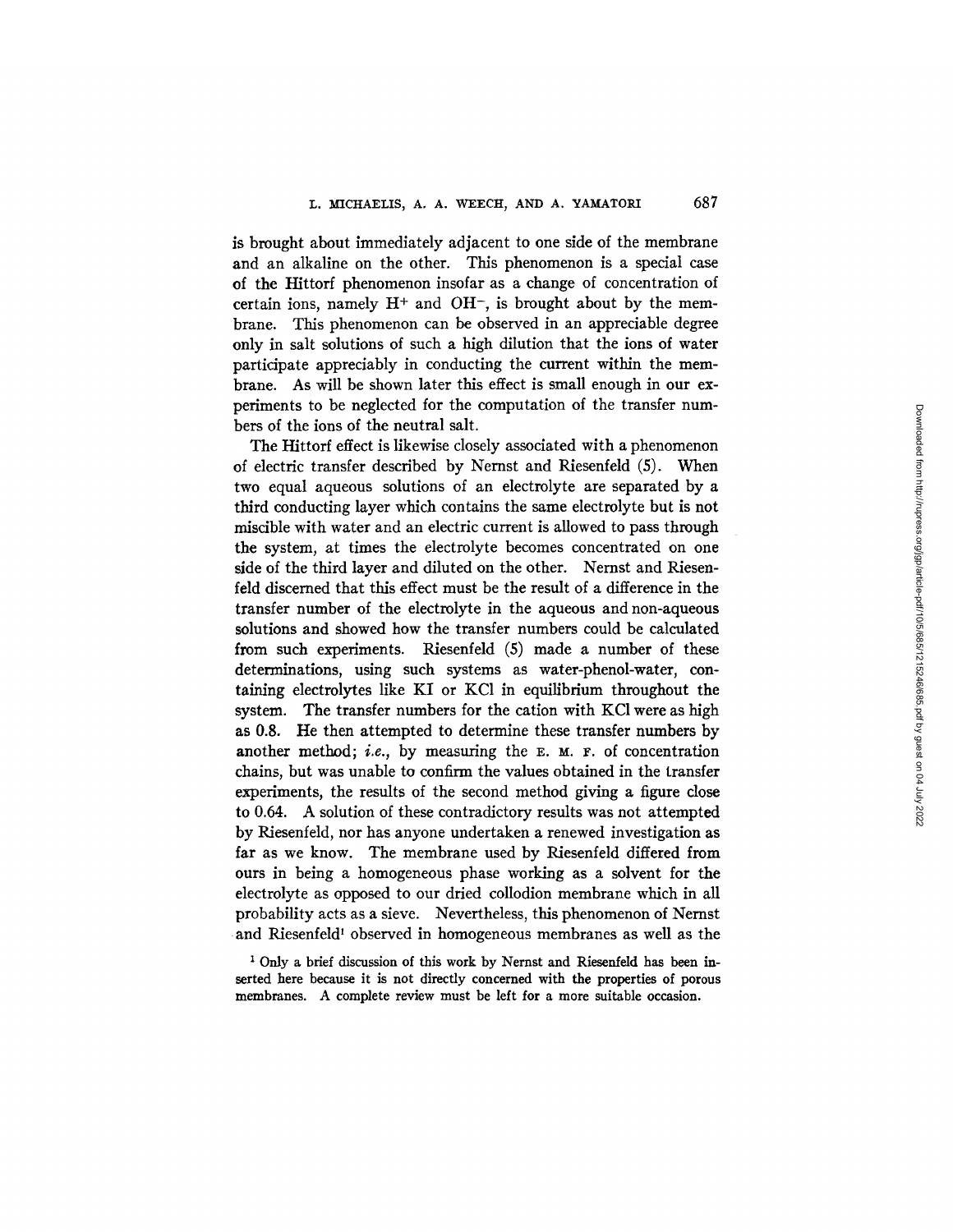is brought about immediately adjacent to one side of the membrane and an alkaline on the other. This phenomenon is a special case of the Hittorf phenomenon insofar as a change of concentration of certain ions, namely  $H^+$  and  $OH^-$ , is brought about by the membrane. This phenomenon can be observed in an appreciable degree only in salt solutions of such a high dilution that the ions of water participate appreciably in conducting the current within the membrane. As will be shown later this effect is small enough in our experiments to be neglected for the computation of the transfer numbers of the ions of the neutral salt.

The Hittorf effect is likewise closely associated with a phenomenon of electric transfer described by Nernst and Riesenfeld (5). When two equal aqueous solutions of an electrolyte are separated by a third conducting layer which contains the same electrolyte but is not miscible with water and an electric current is allowed to pass through the system, at times the electrolyte becomes concentrated on one side of the third layer and diluted on the other. Nernst and Riesenfeld discerned that this effect must be the result of a difference in the transfer number of the electrolyte in the aqueous and non-aqueous solutions and showed how the transfer numbers could be calculated from such experiments. Riesenfeld (5) made a number of these determinations, using such systems as water-phenol-water, containing electrolytes like KI or KC1 in equilibrium throughout the system. The transfer numbers for the cation with KC1 were as high as 0.8. He then attempted to determine these transfer numbers by another method; *i.e.*, by measuring the  $E$ .  $M$ .  $F$ . of concentration chains, but was unable to confirm the values obtained in the transfer experiments, the results of the second method giving a figure close to 0.64. A solution of these contradictory results was not attempted by Riesenfeld, nor has anyone undertaken a renewed investigation as far as we know. The membrane used by Riesenfeld differed from ours in being a homogeneous phase working as a solvent for the electrolyte as opposed to our dried collodion membrane which in all probability acts as a sieve. Nevertheless, this phenomenon of Nernst and Riesenfeld<sup>1</sup> observed in homogeneous membranes as well as the

<sup>1</sup> Only a brief discussion of this work by Nernst and Riesenfeld has been inserted here because it is not directly concerned with the properties of porous membranes. A complete review must be left for a more suitable occasion.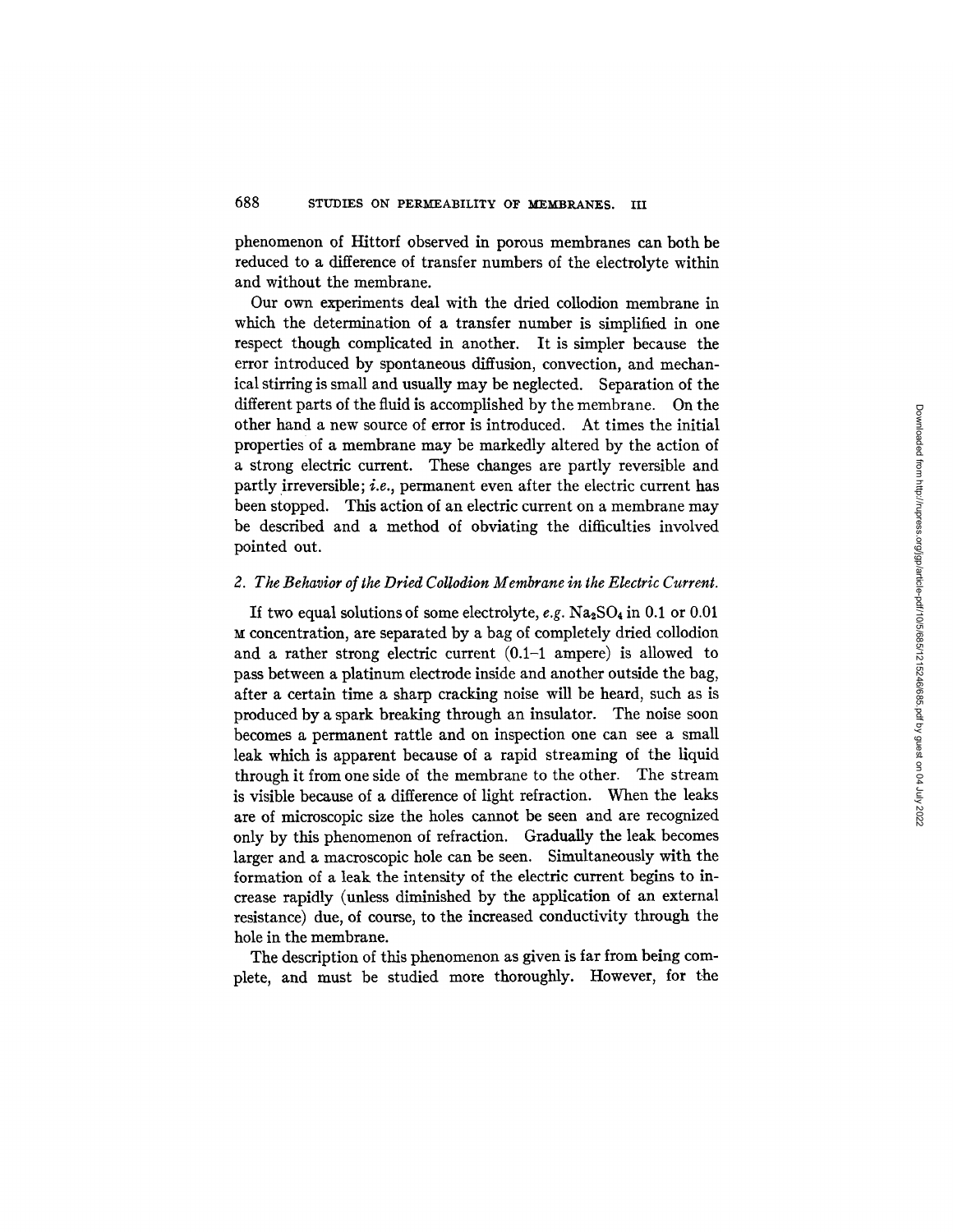phenomenon of Hittorf observed in porous membranes can both be reduced to a difference of transfer numbers of the electrolyte within and without the membrane.

Our own experiments deal with the dried collodion membrane in which the determination of a transfer number is simplified in one respect though complicated in another. It is simpler because the error introduced by spontaneous diffusion, convection, and mechanical stirring is small and usually may be neglected. Separation of the different parts of the fluid is accomplished by the membrane. On the other hand a new source of error is introduced. At times the initial properties of a membrane may be markedly altered by the action of a strong electric current. These changes are partly reversible and partly irreversible; *i.e.,* permanent even after the electric current has been stopped. This action of an electric current on a membrane may be described and a method of obviating the difficulties involved pointed out.

## *2. The Behavior of the Dried Collodion Membrane in the Electric Current.*

If two equal solutions of some electrolyte,  $e.g. Na<sub>2</sub>SO<sub>4</sub>$  in 0.1 or 0.01 concentration, are separated by a bag of completely dried collodion and a rather strong electric current (0.1-1 ampere) is allowed to pass between a platinum electrode inside and another outside the bag, after a certain time a sharp cracking noise will be heard, such as is produced by a spark breaking through an insulator. The noise soon becomes a permanent rattle and on inspection one can see a small leak which is apparent because of a rapid streaming of the liquid through it from one side of the membrane to the other. The stream is visible because of a difference of light refraction. When the leaks are of microscopic size the holes cannot be seen and are recognized only by this phenomenon of refraction. Gradually the leak becomes larger and a macroscopic hole can be seen. Simultaneously with the formation of a leak the intensity of the electric current begins to increase rapidly (unless diminished by the application of an external resistance) due, of course, to the increased conductivity through the hole in the membrane.

The description of this phenomenon as given is far from being complete, and must be studied more thoroughly. However, for the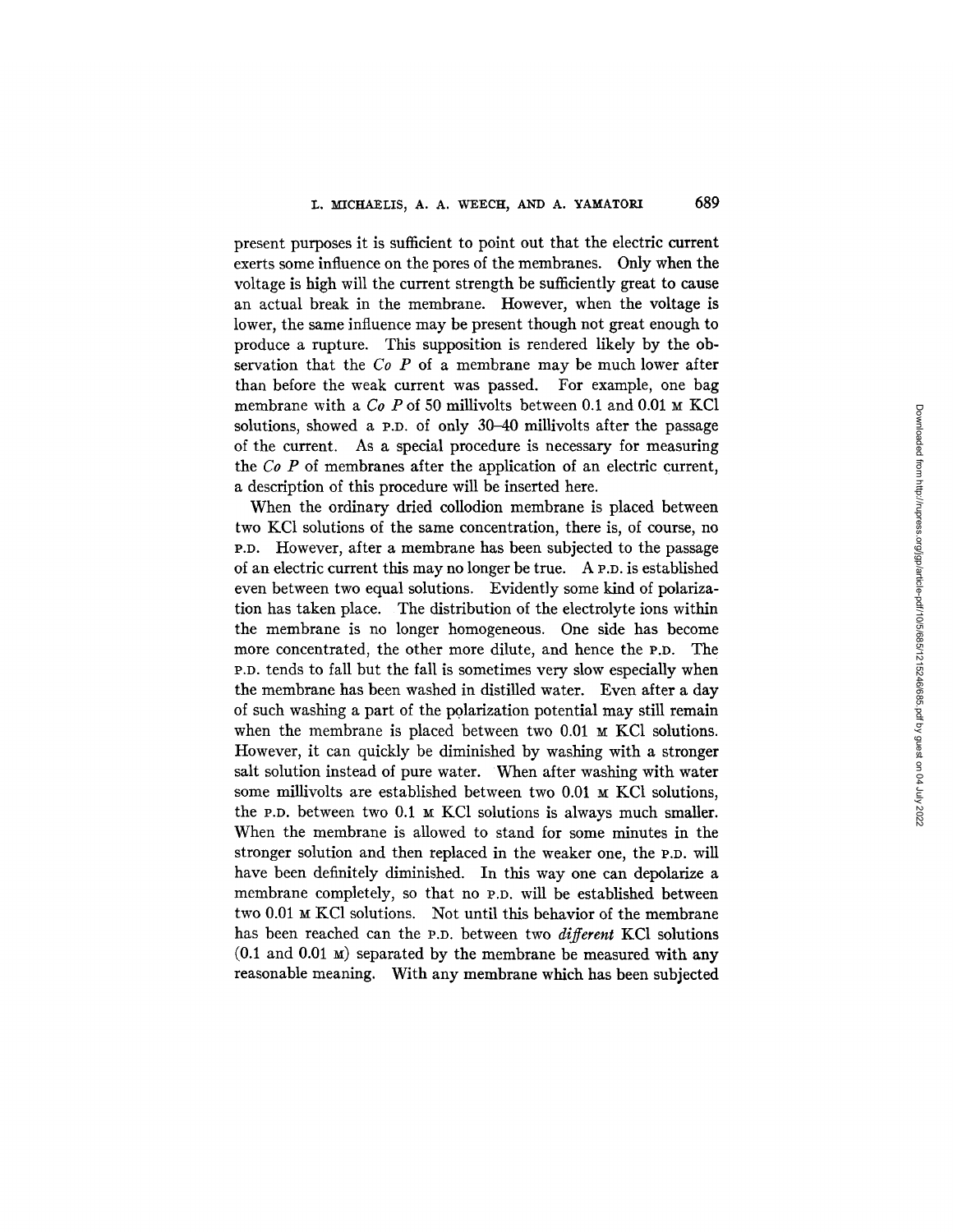present purposes it is sufficient to point out that the electric current exerts some influence on the pores of the membranes. Only when the voltage is high will the current strength be sufficiently great to cause an actual break in the membrane. However, when the voltage is lower, the same influence may be present though not great enough to produce a rupture. This supposition is rendered likely by the observation that the *Co P* of a membrane may be much lower after than before the weak current was passed. For example, one bag membrane with a *Co P* of 50 millivolts between 0.1 and 0.01 M KCl solutions, showed a p.p. of only 30-40 millivolts after the passage of the current. As a special procedure is necessary for measuring the *Co P* of membranes after the application of an electric current, a description of this procedure will be inserted here.

When the ordinary dried collodion membrane is placed between two KCI solutions of the same concentration, there is, of course, no P.D. However, after a membrane has been subjected to the passage of an electric current this may no longer be true. A P.D. is established even between two equal solutions. Evidently some kind of polarization has taken place. The distribution of the electrolyte ions within the membrane is no longer homogeneous. One side has become more concentrated, the other more dilute, and hence the P.D. The P.D. tends to fall but the fall is sometimes very slow especially when the membrane has been washed in distilled water. Even after a day of such washing a part of the pglarization potential may still remain when the membrane is placed between two  $0.01 ~ M$  KCl solutions. However, it can quickly be diminished by washing with a stronger salt solution instead of pure water. When after washing with water some millivolts are established between two  $0.01 \times KCl$  solutions, the P.D. between two  $0.1 ~\text{m}$  KCl solutions is always much smaller. When the membrane is allowed to stand for some minutes in the stronger solution and then replaced in the weaker one, the P.D. will have been definitely diminished. In this way one can depolarize a membrane completely, so that no p.p. will be established between two 0.01 M KCl solutions. Not until this behavior of the membrane has been reached can the P.D. between two *different* KCl solutions  $(0.1$  and  $0.01$  M) separated by the membrane be measured with any reasonable meaning. With any membrane which has been subjected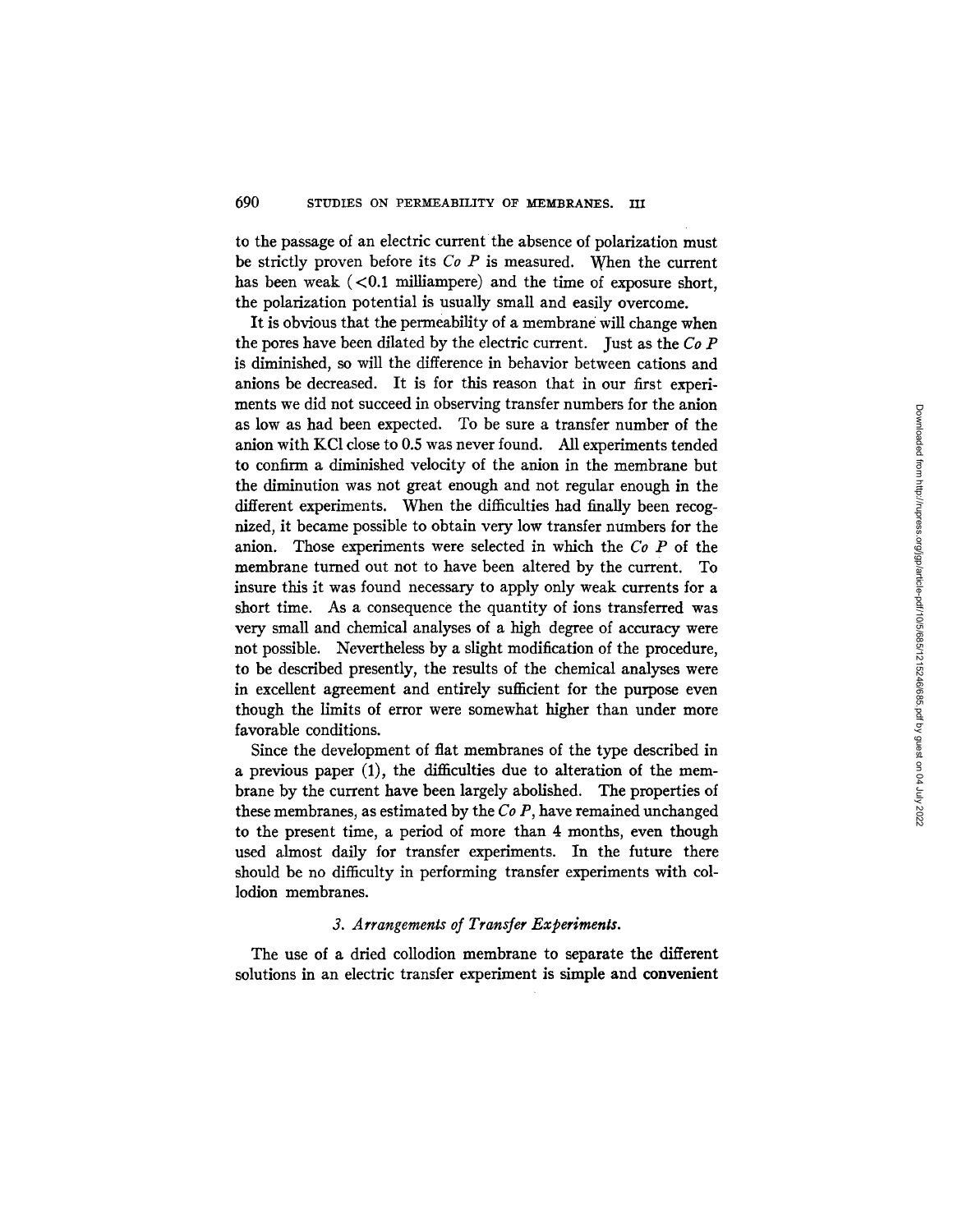to the passage of an electric current the absence of polarization must be strictly proven before its *Co P* is measured. When the current has been weak  $\left($  <0.1 milliampere) and the time of exposure short, the polarization potential is usually small and easily overcome.

It is obvious that the permeability of a membrane will change when the pores have been dilated by the electric current. Just as the *Co P*  is diminished, so will the difference in behavior between cations and anions be decreased. It is for this reason that in our first experiments we did not succeed in observing transfer numbers for the anion as low as had been expected. To be sure a transfer number of the anion with KC1 close to 0.5 was never found. All experiments tended to confirm a diminished velocity of the anion in the membrane but the diminution was not great enough and not regular enough in the different experiments. When the difficulties had finally been recognized, it became possible to obtain very low transfer numbers for the anion. Those experiments were selected in which the *Co P* of the membrane turned out not to have been altered by the current. To insure this it was found necessary to apply only weak currents for a short time. As a consequence the quantity of ions transferred was very small and chemical analyses of a high degree of accuracy were not possible. Nevertheless by a slight modification of the procedure, to be described presently, the results of the chemical analyses were in excellent agreement and entirely sufficient for the purpose even though the limits of error were somewhat higher than under more favorable conditions.

Since the development of flat membranes of the type described in a previous paper (1), the difficulties due to alteration of the membrane by the current have been largely abolished. The properties of these membranes, as estimated by the *Co P,* have remained unchanged to the present time, a period of more than 4 months, even though used almost daily for transfer experiments. In the future there should be no difficulty in performing transfer experiments with collodion membranes.

# *3. Arrangements of Transfer Experiments.*

The use of a dried collodion membrane to separate the different solutions in an electric transfer experiment is simple and convenient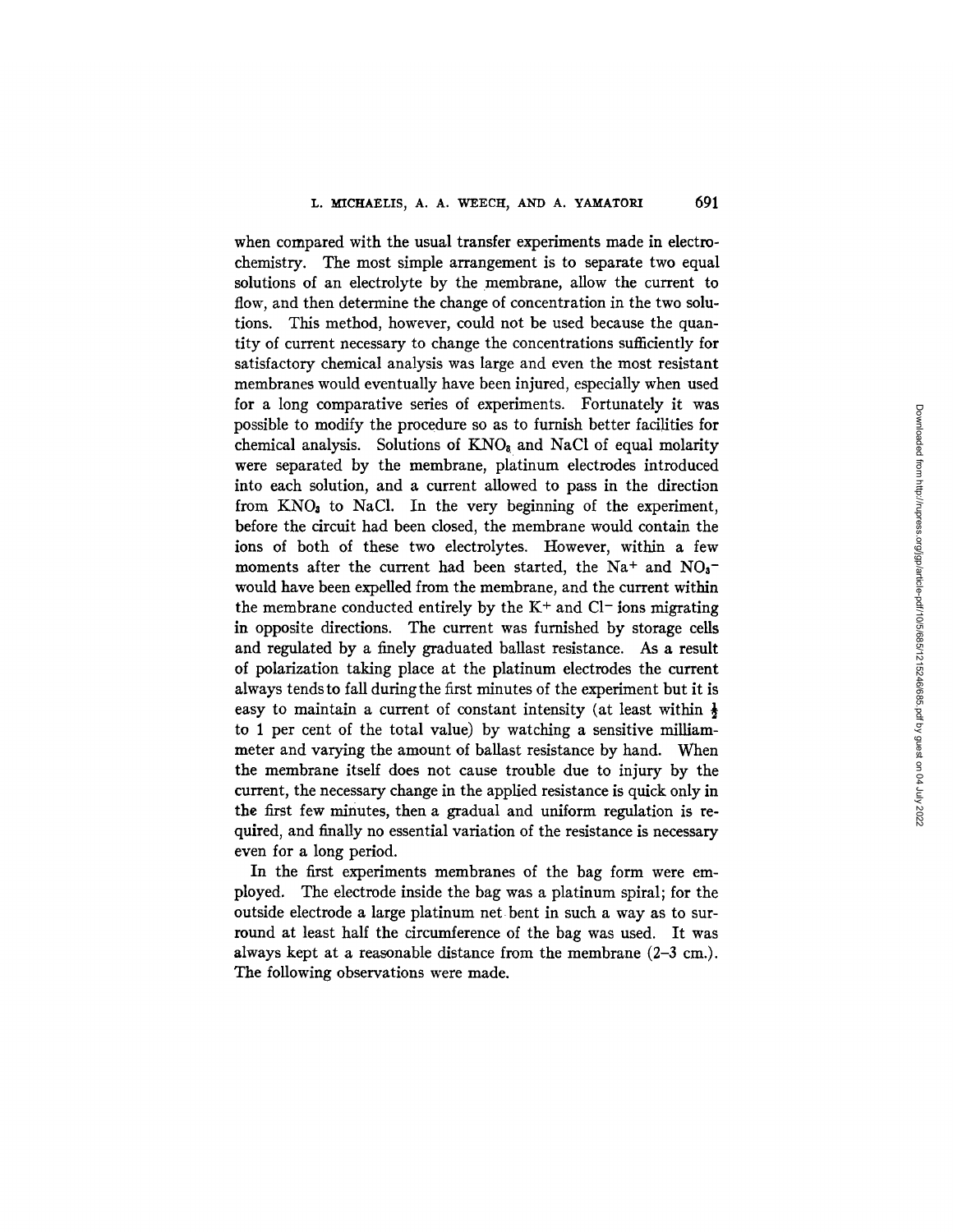when compared with the usual transfer experiments made in electrochemistry. The most simple arrangement is to separate two equal solutions of an electrolyte by the membrane, allow the current to flow, and then determine the change of concentration in the two solutions. This method, however, could not be used because the quantity of current necessary to change the concentrations sufficiently for satisfactory chemical analysis was large and even the most resistant membranes would eventually have been injured, especially when used for a long comparative series of experiments. Fortunately it was possible to modify the procedure so as to furnish better facilities for chemical analysis. Solutions of  $KNO<sub>8</sub>$  and NaCl of equal molarity were separated by the membrane, platinum electrodes introduced into each solution, and a current allowed to pass in the direction from  $KNO<sub>s</sub>$  to NaCl. In the very beginning of the experiment, before the circnit had been closed, the membrane would contain the ions of both of these two electrolytes. However, within a few moments after the current had been started, the Na<sup>+</sup> and NO<sub>3</sub><sup>-</sup> would have been expelled from the membrane, and the current within the membrane conducted entirely by the  $K<sup>+</sup>$  and  $Cl<sup>-</sup>$  ions migrating in opposite directions. The current was furnished by storage cells and regulated by a finely graduated ballast resistance. As a result of polarization taking place at the platinum electrodes the current always tends to fall during the first minutes of the experiment but it is easy to maintain a current of constant intensity (at least within  $\frac{1}{2}$ ) to 1 per cent of the total value) by watching a sensitive milliammeter and varying the amount of ballast resistance by hand. When the membrane itself does not cause trouble due to injury by the current, the necessary change in the applied resistance is quick only in the first few minutes, then a gradual and uniform regulation is required, and finally no essential variation of the resistance is necessary even for a long period.

In the first experiments membranes of the bag form were employed. The electrode inside the bag was a platinum spiral; for the outside electrode a large platinum net bent in such a way as to surround at least half the circumference of the bag was used. It was always kept at a reasonable distance from the membrane (2-3 cm.). The following observations were made.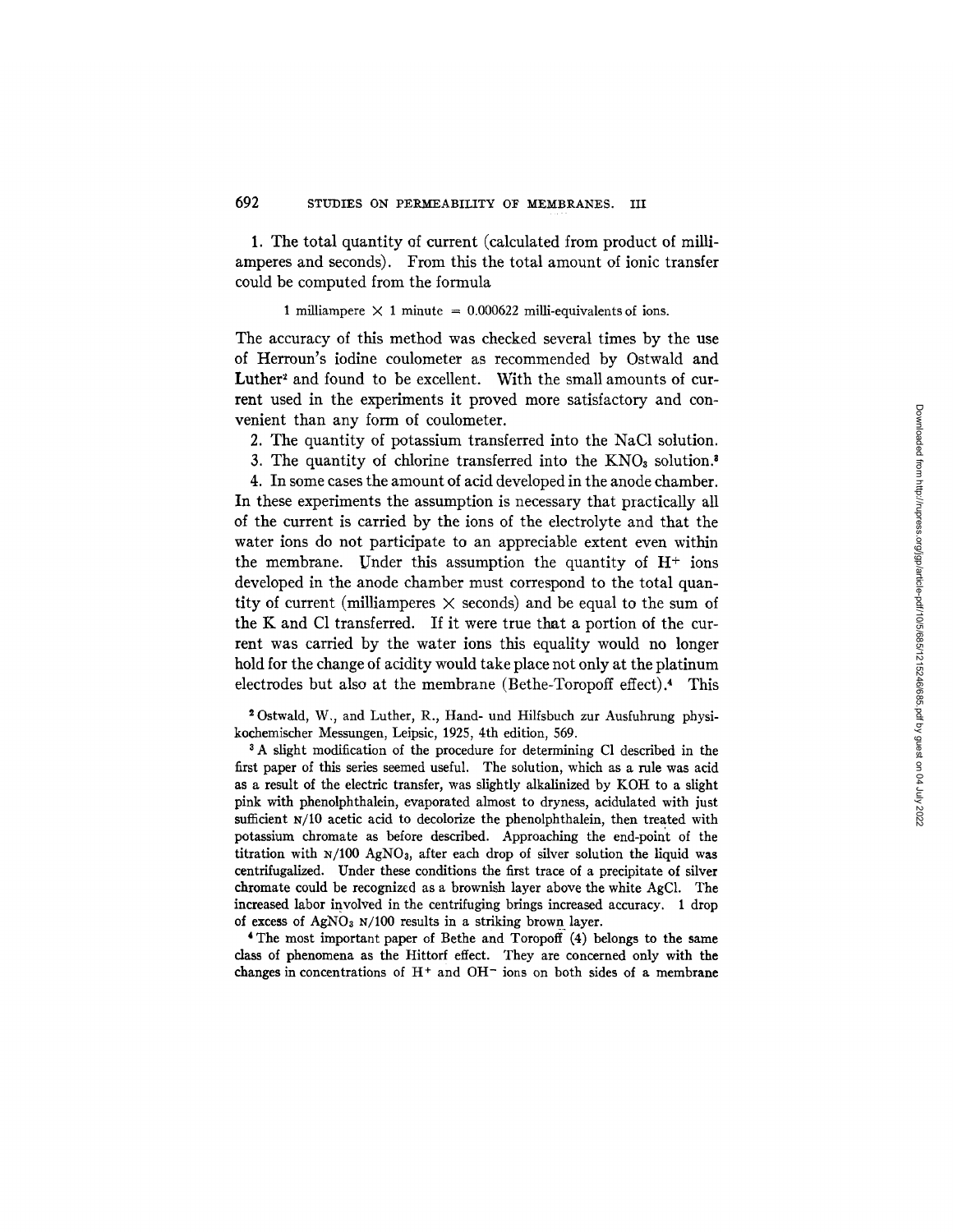1. The total quantity ef current (calculated from product of milliamperes and seconds). From this the total amount of ionic transfer could be computed from the formula

1 milliampere  $\times$  1 minute = 0.000622 milli-equivalents of ions.

The accuracy of this method was checked several times by the use of Herroun's iodine coulometer as recommended by Ostwald and Luther<sup>2</sup> and found to be excellent. With the small amounts of current used in the experiments it proved more satisfactory and convenient than any form of coulometer.

2. The quantity of potassium transferred into the NaC1 solution.

3. The quantity of chlorine transferred into the  $KNO<sub>3</sub>$  solution.<sup>8</sup>

4. In some cases the amount of acid developed in the anode chamber. In these experiments the assumption is necessary that practically all of the current is carried by the ions of the electrolyte and that the water ions do not participate to an appreciable extent even within the membrane. Under this assumption the quantity of  $H^+$  ions developed in the anode chamber must correspond to the total quantity of current (milliamperes  $\times$  seconds) and be equal to the sum of the K and C1 transferred. If it were true that a portion of the current was carried by the water ions this equality would no longer hold for the change of acidity would take place not only at the platinum electrodes but also at the membrane (Bethe-Toropoff effect).\* This

20stwald, *W.,* and Luther, R., Hand- und Hilfsbuch zur Ausfuhrung physikochemischer Messungen, Leipsic, 1925, 4th edition, 569.

3 A slight modification of the procedure for determining C1 described in the first paper of this series seemed useful. The solution, which as a rule was acid as a result of the electric transfer, was slightly alkalinized by KOH to a slight pink with phenolphthalein, evaporated almost to dryness, acidulated with just sufficient N/10 acetic acid to decolorize the phenolphthalein, then treated with potassium chromate as before described. Approaching the end-point of the titration with  $N/100$  AgNO<sub>3</sub>, after each drop of silver solution the liquid was centrifugalized. Under these conditions the first trace of a precipitate of silver chromate could be recognized as a brownish layer above the white AgC1. The increased labor involved in the centrifuging brings increased accuracy. 1 drop of excess of  $AgNO<sub>3</sub>$  N/100 results in a striking brown layer.

\* The most important paper of Bethe and Toropoff (4) belongs to the same class of phenomena as the Hittorf effect. They are concerned only with the changes in concentrations of  $H^+$  and  $OH^-$  ions on both sides of a membrane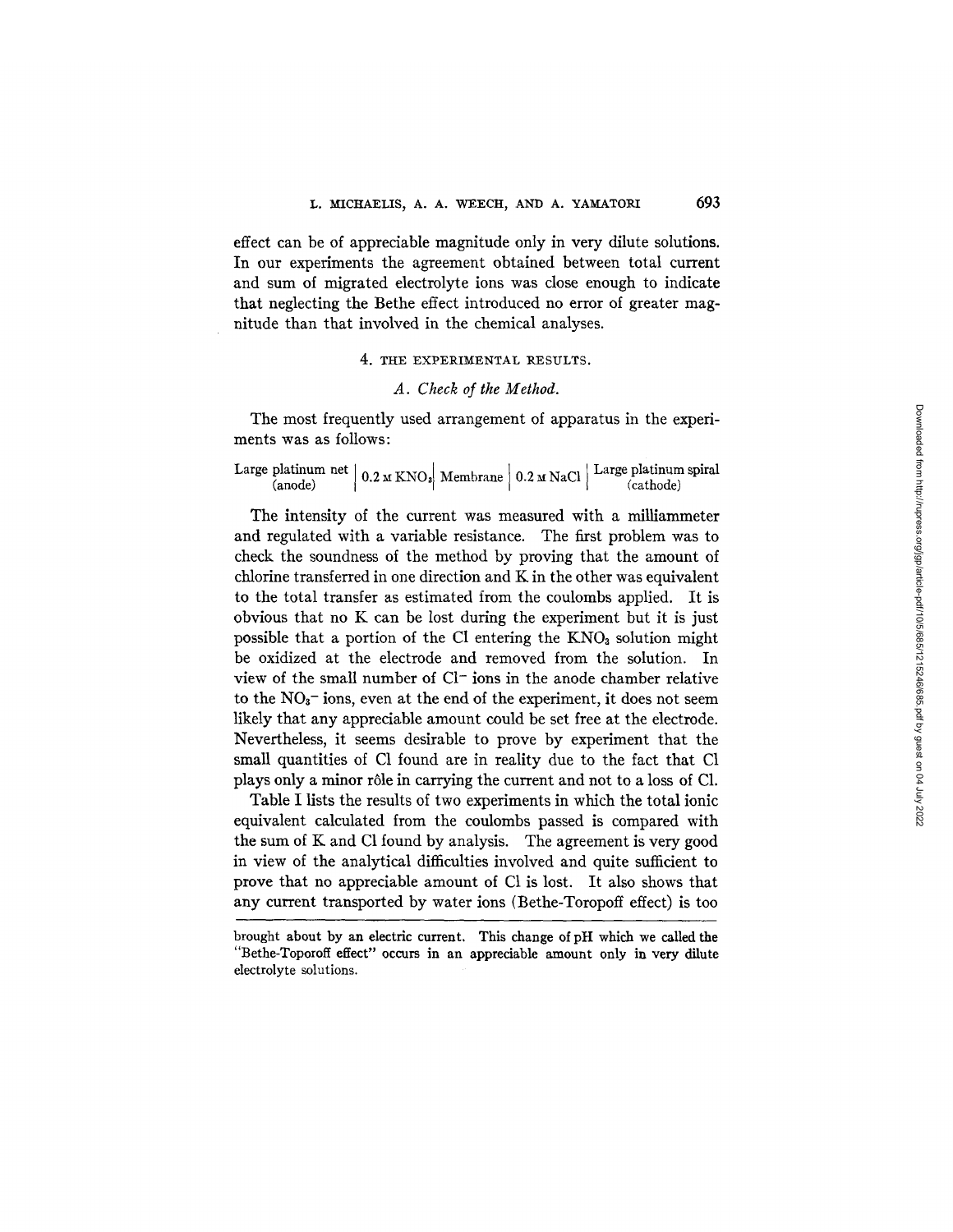effect can be of appreciable magnitude only in very dilute solutions. In our experiments the agreement obtained between total current and sum of migrated electrolyte ions was close enough to indicate that neglecting the Bethe effect introduced no error of greater magnitude than that involved in the chemical analyses.

## 4. THE EXPERIMENTAL RESULTS.

## *A. Check of the Method.*

The most frequently used arrangement of apparatus in the experiments was as follows:

| Large platinum net $\Big  0.2 M KNO_8 \Big $ Membrane $\Big  0.2 M NaCl \Big $ Large platinum spiral<br>(anode) |  |  | (cathode) |
|-----------------------------------------------------------------------------------------------------------------|--|--|-----------|
|-----------------------------------------------------------------------------------------------------------------|--|--|-----------|

The intensity of the current was measured with a milliammeter and regulated with a variable resistance. The first problem was to check the soundness of the method by proving that the amount of chlorine transferred in one direction and K in the other was equivalent to the total transfer as estimated from the coulombs applied. It is obvious that no K can be lost during the experiment but it is just possible that a portion of the CI entering the  $KNO<sub>a</sub>$  solution might be oxidized at the electrode and removed from the solution. In view of the small number of C1- ions in the anode chamber relative to the  $NO<sub>3</sub>$ - ions, even at the end of the experiment, it does not seem likely that any appreciable amount could be set free at the electrode. Nevertheless, it seems desirable to prove by experiment that the small quantities of C1 found are in reality due to the fact that C1 plays only a minor r61e in carrying the current and not to a loss of C1.

Table I lists the results of two experiments in which the total ionic equivalent calculated from the coulombs passed is compared with the sum of K and C1 found by analysis. The agreement is very good in view of the analytical difficulties involved and quite sufficient **to**  prove that no appreciable amount of C1 is lost. It also shows that any current transported by water ions (Bethe-Toropoff effect) is too

brought about by an electric current, This change of pH which we called the "Bethe-Toporoff effect" occurs in an appreciable amount only in very dilute electrolyte solutions.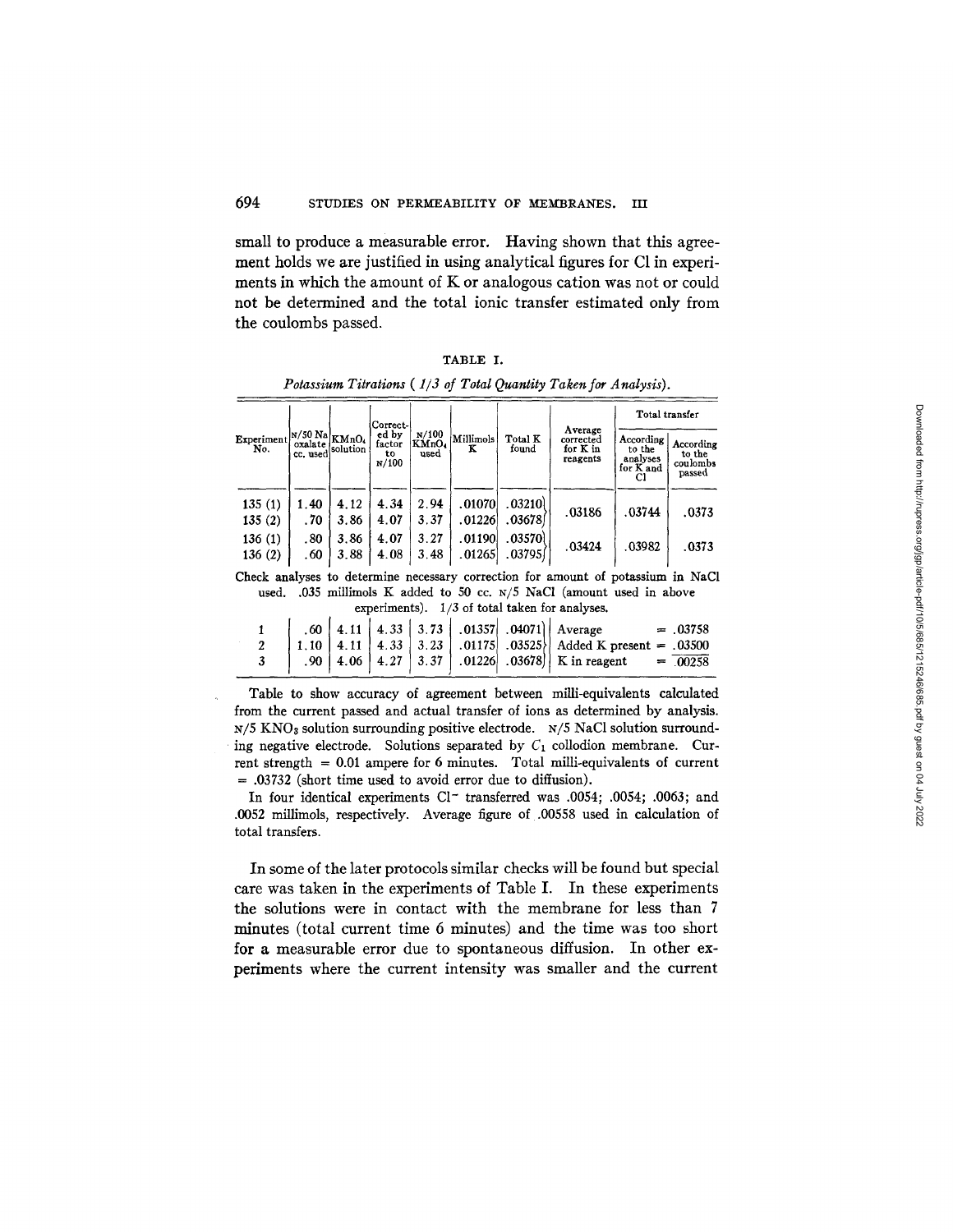small to produce a measurable error. Having shown that this agreement holds we are justified in using analytical figures for C1 in experiments in which the amount of K or analogous cation was not or could not be determined and the total ionic transfer estimated only from the coulombs passed.

|                   |                                                            |              | Correct-                       |                        |                  |                    |                                              | Total transfer                               |                                           |
|-------------------|------------------------------------------------------------|--------------|--------------------------------|------------------------|------------------|--------------------|----------------------------------------------|----------------------------------------------|-------------------------------------------|
| Experiment<br>No. | $ N/50 \text{ Na} _{\text{KMnO}_4}$<br>oxalate<br>cc. used | solution !   | ed by<br>factor<br>to<br>N/100 | N/100<br>KMnO4<br>used | Millimols<br>к   | Total K<br>found   | Average<br>corrected<br>for K in<br>reagents | According<br>to the<br>analyses<br>for K and | According<br>to the<br>coulombs<br>passed |
| 135(1)<br>135(2)  | 1.40<br>.70                                                | 4.12<br>3.86 | 4.34<br>4.07                   | 2.94<br>3.37           | .01070<br>.01226 | .032101<br>.036781 | .03186                                       | .03744                                       | .0373                                     |
| 136(1)<br>136(2)  | .80<br>.60                                                 | 3.86<br>3.88 | 4.07<br>4.08                   | 3.27<br>3.48           | .01190<br>.01265 | .03570)<br>.03795  | .03424                                       | .03982                                       | .0373                                     |

TABLE I. *Potassium Titrations ( 1/3 of Total Quantity Taken for Analysis).* 

Check analyses to determine necessary correction for amount of potassium in NaCl used. .035 millimols K added to 50 cc. N/5 NaC1 (amount used in above experiments). 1/3 of total taken for analyses.

|  |  |  | $\begin{array}{ c c c c c c c c } \hline .60 & 4.11 & 4.33 & 3.73 & .01357 & .04071 & A year & = .03758 \\ 1.10 & 4.11 & 4.33 & 3.23 & .01175 & .03525 & Added K present & = .03500 \\ .90 & 4.06 & 4.27 & 3.37 & .01226 & .03678 & K in reagent & = .00258 \\ \hline \end{array}$ |
|--|--|--|------------------------------------------------------------------------------------------------------------------------------------------------------------------------------------------------------------------------------------------------------------------------------------|
|  |  |  |                                                                                                                                                                                                                                                                                    |

Table to show accuracy of agreement between milli-equivalents calculated from the current passed and actual transfer of ions as determined by analysis.  $N/5$  KNO<sub>3</sub> solution surrounding positive electrode.  $N/5$  NaCl solution surrounding negative electrode. Solutions separated by  $C_1$  collodion membrane. Current strength  $= 0.01$  ampere for 6 minutes. Total milli-equivalents of current = .03732 (short time used to avoid error due to diffusion).

In four identical experiments Cl- transferred was .0054; .0054; .0063; and .0052 millimols, respectively• Average figure of .00558 used in calculation of total transfers.

In some of the later protocols similar checks will be found but special care was taken in the experiments of Table I. In these experiments the solutions were in contact with the membrane for less than 7 minutes (total current time 6 minutes) and the time was too short for a measurable error due to spontaneous diffusion. In other experiments where the current intensity was smaller and the current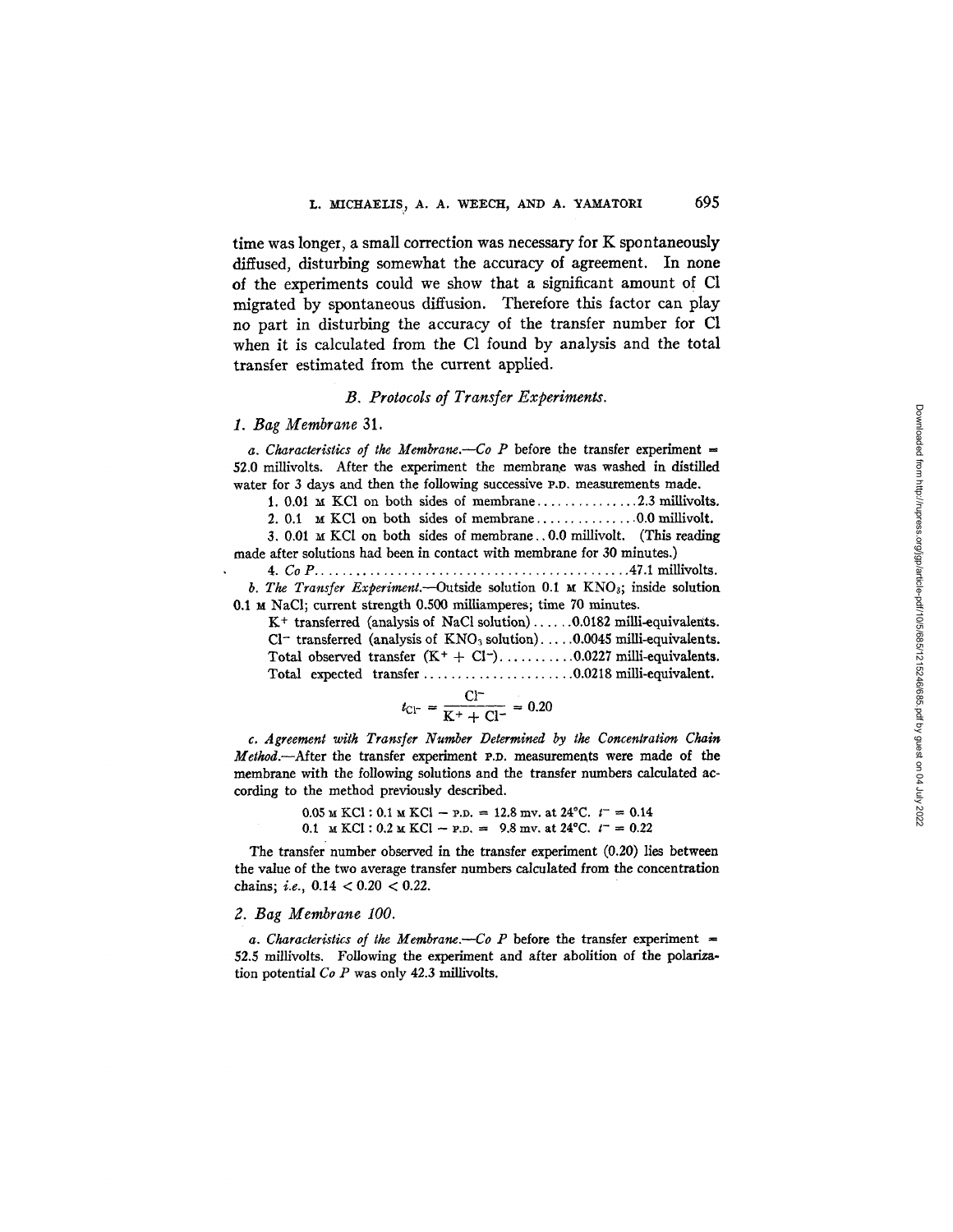time was longer, a small correction was necessary for  $K$  spontaneously diffused, disturbing somewhat the accuracy of agreement. In none of the experiments could we show that a significant amount of C1 migrated by spontaneous diffusion. Therefore this factor can play no part in disturbing the accuracy of the transfer number for C1 when it is calculated from the C1 found by analysis and the total transfer estimated from the current applied.

## *B. Protocols of Transfer Experiments.*

## *1. Bag Membrane* 31.

*a. Characteristics of the Membrane.*--Co P before the transfer experiment  $=$ 52.0 millivolts. After the experiment the membrane was washed in distilled water for 3 days and then the following successive P.D. measurements made.

1.  $0.01 \text{ M}$  KCl on both sides of membrane ................... 2.3 millivolts.

2. 0.1 ~ KC1 on both sides of membrane ............... 0.0 millivolt.

3.  $0.01 \times \text{KCl}$  on both sides of membrane... $0.0 \text{ millivolt}$ . (This reading made after solutions had been in contact with membrane for 30 minutes.)

4. Co P .............................................. 47.1 millivolts. *b. The Transfer Experiment.*—Outside solution 0.1  $\mu$  KNO<sub>3</sub>; inside solution 0.1 M NaCl; current strength 0.500 milliamperes; time 70 minutes.

 $K^+$  transferred (analysis of NaCl solution) ......0.0182 milli-equivalents.  $Cl^-$  transferred (analysis of  $KNO_3$  solution).....0.0045 milli-equivalents. Total observed transfer  $(K^+ + Cl^-)$ ...............0.0227 milli-equivalents. Total expected transfer ...................... 0.0218milli-equivalent.

$$
t_{\rm Cl^-} = \frac{\rm Cl^-}{\rm K^+ + \rm Cl^-} = 0.20
$$

*c. Agreement with Transfer Number Determined by the Concentration Chain Method.*---After the transfer experiment p.p. measurements were made of the membrane with the following solutions and the transfer numbers calculated according to the method previously described.

> $0.05 ~\text{m}$  KCl: 0.1 m KCl - P.D. = 12.8 mv. at 24°C.  $t^- = 0.14$ 0.1 M KCI :  $0.2$  M KCI -- P.D. = 9.8 mv. at 24°C.  $t^{-}$  = 0.22

The transfer number observed in the transfer experiment (0.20) lies between the value of the two average transfer numbers calculated from the concentration chains; *i.e.,* 0.14 < 0.20 < 0.22.

#### *2. Bag Membrane 100.*

a. Characteristics of the Membrane. $-Co$  P before the transfer experiment  $=$ 52.5 millivolts. Following the experiment and after abolition of the polarization potential  $Co$   $P$  was only 42.3 millivolts.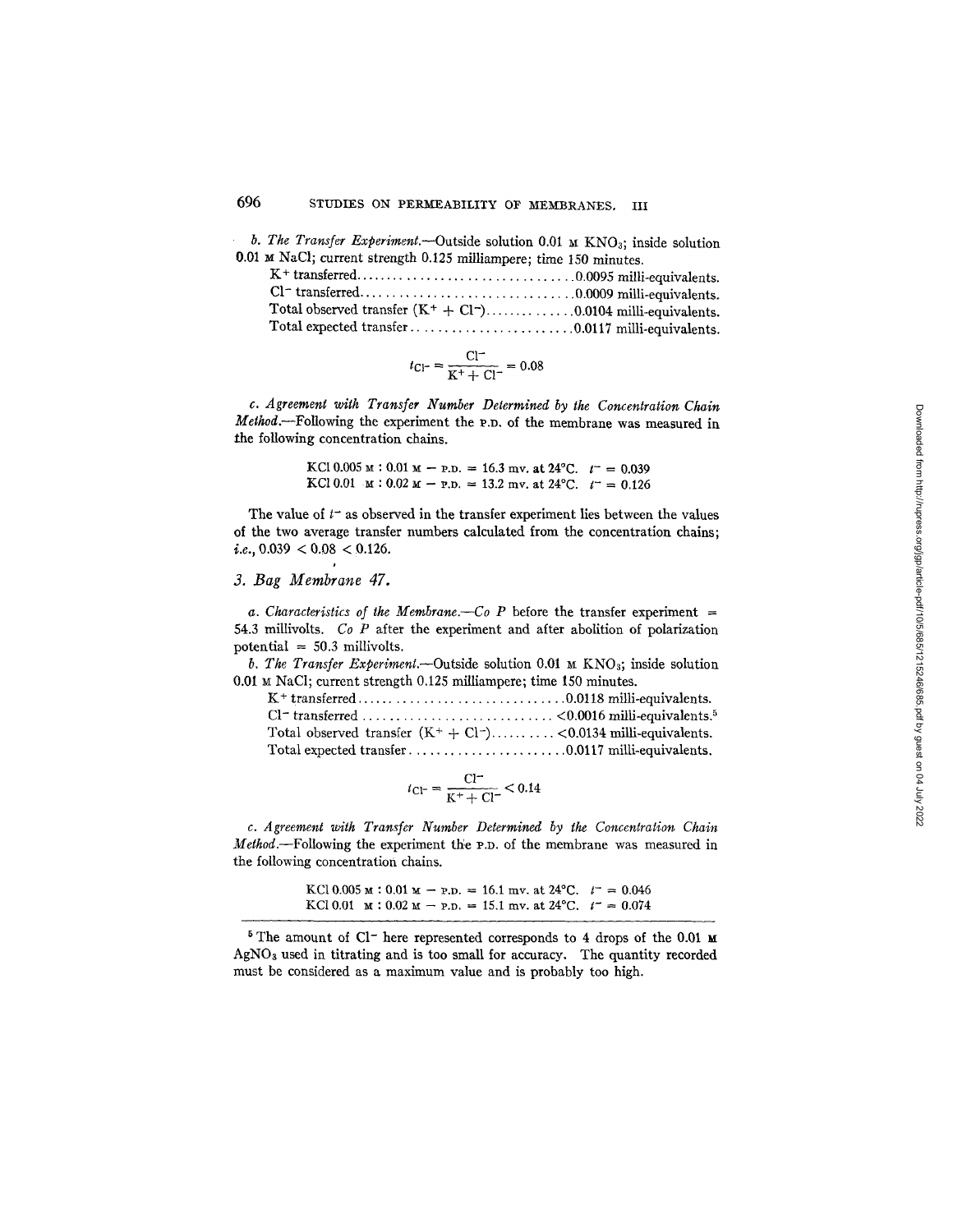*b. The Transfer Experiment.--Outside* solution 0.01 M KNOs; inside solution 0.01 M NaC1; current strength 0.125 milliampere; time 150 minutes,

$$
t_{\rm Cl^-} = \frac{\rm Cl^-}{\rm K^+ + \rm Cl^-} = 0.08
$$

*c. Agreement with Transfer Number Determined by the Concentration Chain Method.*--Following the experiment the P.D. of the membrane was measured in the following concentration chains.

> KCI 0.005 M : 0.01 M -- P.D. = 16.3 mv. at 24°C.  $t^- = 0.039$ KCl 0.01  $\text{M}$  : 0.02  $\text{M}$  - P.D. = 13.2 mv. at 24°C.  $t^- = 0.126$

The value of  $t^-$  as observed in the transfer experiment lies between the values of the two average transfer numbers calculated from the concentration chains; i.e.,  $0.039 < 0.08 < 0.126$ .

## *3. Bag Membrane 47.*

*a. Characteristics of the Membrane.*—*Co P* before the transfer experiment  $=$ 54.3 millivolts. *Co P* after the experiment and after abolition of polarization potential  $= 50.3$  millivolts.

*b. The Transfer Experiment.--Outside* solution 0.01 M KNQ; inside solution 0.01 M NaCI; current strength 0,125 milliampere; time 150 minutes.

$$
t_{\rm Cl^-} = \frac{\rm Cl^-}{\rm K^+ + \rm Cl^-} < 0.14
$$

*c. Agreement with Transfer Number Determined by the Concentration Chain Method.*--Following the experiment the P.D. of the membrane was measured in the following concentration chains.

> KCl 0.005 M : 0.01 M - P.D. = 16.1 mv. at 24°C.  $t^- = 0.046$ KCl 0.01  $\text{M}$  : 0.02  $\text{M}$  - P.D. = 15.1 mv. at 24°C.  $t^-$  = 0.074

 $5$  The amount of Cl<sup>-</sup> here represented corresponds to 4 drops of the 0.01  $\times$ AgNOs used in titrating and is too small for accuracy. The quantity recorded must be considered as a maximum value and is probably too high.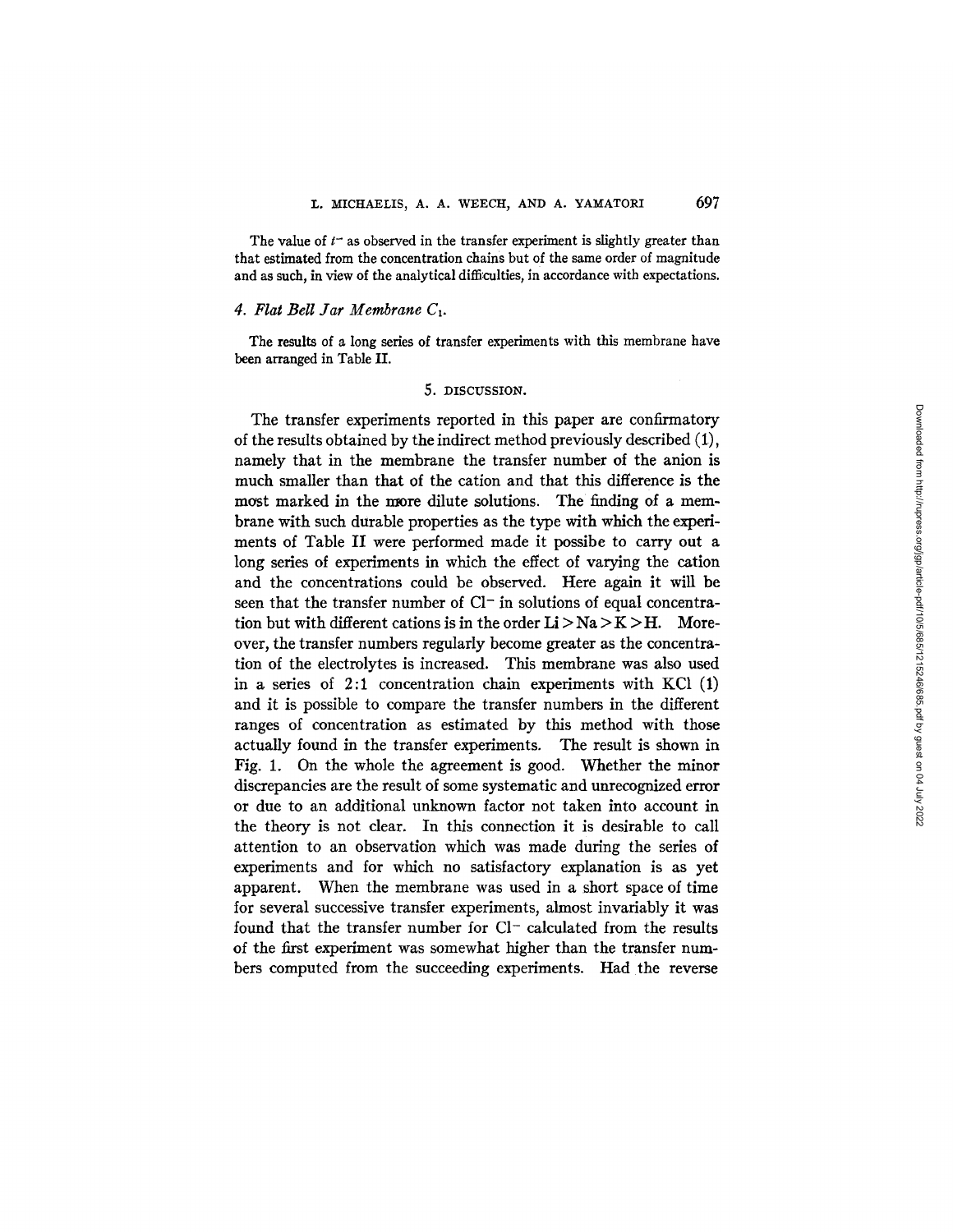The value of  $t^-$  as observed in the transfer experiment is slightly greater than that estimated from the concentration chains but of the same order of magnitude and as such, in view of the analytical difficulties, in accordance with expectations.

## *4. Flat Bell Jar Membrane C1.*

The results of a long series of transfer experiments with this membrane have been arranged in Table II.

#### 5. DISCUSSION.

The transfer experiments reported in this paper are confirmatory of the results obtained by the indirect method previously described (1), namely that in the membrane the transfer number of the anion is much smaller than that of the cation and that this difference is the most marked in the more dilute solutions. The finding of a membrane with such durable properties as the type with which the experiments of Table II were performed made it possibe to carry out a long series of experiments in which the effect of varying the cation and the concentrations could be observed. Here again it will be seen that the transfer number of  $Cl^-$  in solutions of equal concentration but with different cations is in the order  $Li > Na > K > H$ . Moreover, the transfer numbers regularly become greater as the concentration of the electrolytes is increased. This membrane was also used in a series of 2:1 concentration chain experiments with KC1 (1) and it is possible to compare the transfer numbers in the different ranges of concentration as estimated by this method with those actually found in the transfer experiments. The result is shown in Fig. 1. On the whole the agreement is good. Whether the minor discrepancies are the result of some systematic and unrecognized error or due to an additional unknown factor not taken into account in the theory is not clear. In this connection it is desirable to call attention to an observation which was made during the series of experiments and for which no satisfactory explanation is as yet apparent. When the membrane was used in a short space of time for several successive transfer experiments, almost invariably it was found that the transfer number for Cl<sup>-</sup> calculated from the results of the first experiment was somewhat higher than the transfer numbers computed from the succeeding experiments. Had the reverse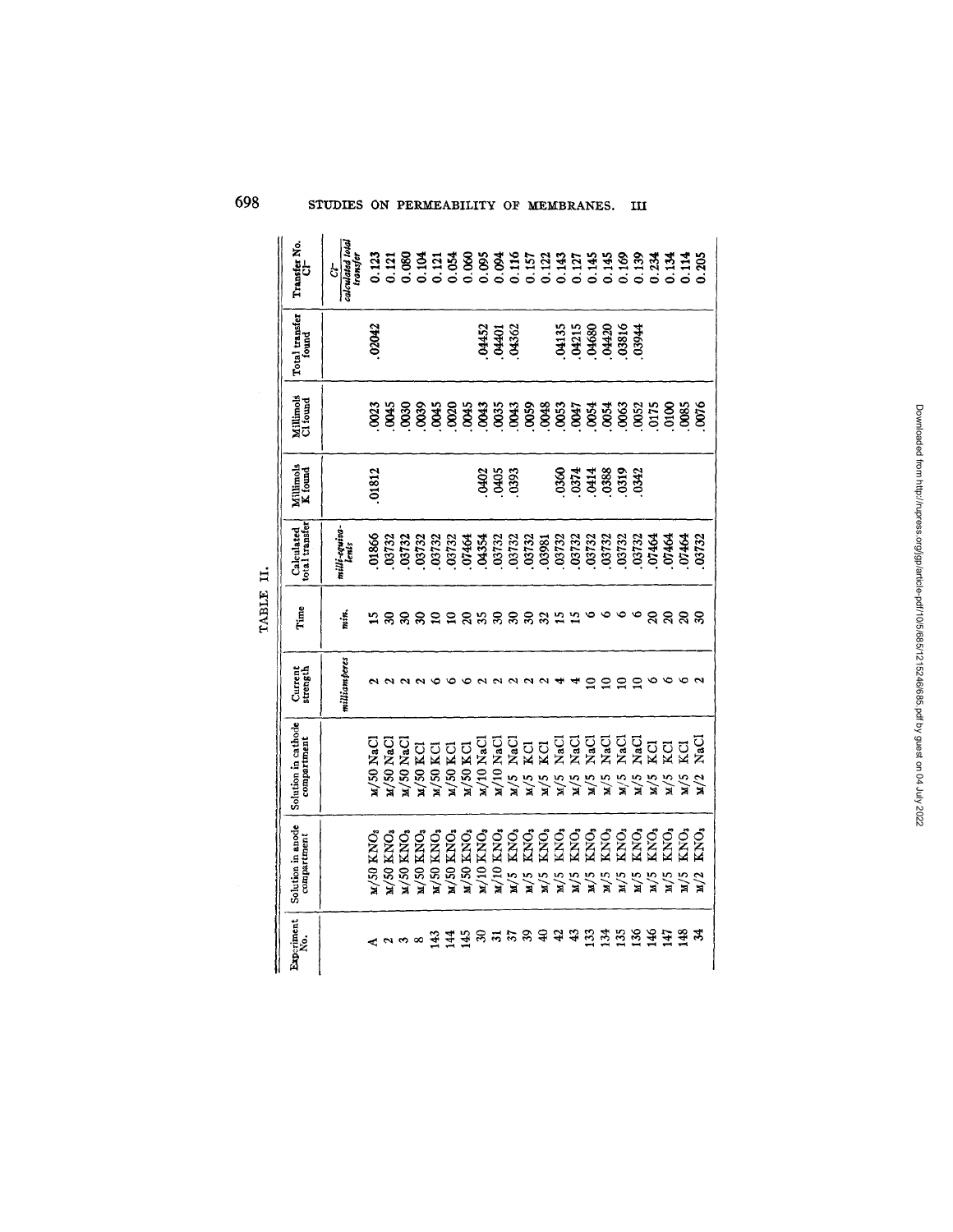| Transfer No.                       | calculated tota<br>ransfer<br>$\mathcal{G}$ | 0.123     |                          |               | $\frac{118881}{12000000}$     |              |                          | 0.054                    |                        |                                                              |                |     |                         |                                                                                 |     |                                           |                |               |                    |                         |               |                                  |                             |
|------------------------------------|---------------------------------------------|-----------|--------------------------|---------------|-------------------------------|--------------|--------------------------|--------------------------|------------------------|--------------------------------------------------------------|----------------|-----|-------------------------|---------------------------------------------------------------------------------|-----|-------------------------------------------|----------------|---------------|--------------------|-------------------------|---------------|----------------------------------|-----------------------------|
| Total transfer<br>found            |                                             | 02042     |                          |               |                               |              |                          |                          |                        | 0452<br>04401<br>04362                                       |                |     |                         |                                                                                 |     | 04135<br>04215<br>04420<br>03816<br>03944 |                |               |                    |                         |               |                                  |                             |
| Millimols<br>Cl found              |                                             | 0023      |                          | $\frac{3}{8}$ |                               |              |                          |                          |                        |                                                              |                |     |                         |                                                                                 |     | <b>0054</b><br>0054                       |                |               | 863<br>865<br>9175 |                         |               | 0100<br>003<br>0076              |                             |
| Millimols<br>K found               |                                             | 01812     |                          |               |                               |              |                          |                          | <b>GHO2</b>            | <b>SSS</b>                                                   |                |     |                         |                                                                                 |     |                                           |                |               |                    |                         |               |                                  |                             |
| Calculated<br>total transfer       | milli-equiva-<br>lents                      |           |                          |               |                               |              |                          |                          |                        |                                                              |                |     |                         |                                                                                 |     |                                           |                |               |                    |                         |               |                                  |                             |
| Time                               | min.                                        | ≌         |                          | ននន           |                               | ₽            | ្ព                       | ន                        |                        | , ກິລິ ສ                                                     |                | ౾   |                         |                                                                                 |     |                                           |                |               | o                  |                         |               |                                  |                             |
| Current<br>strength                | milliamperes                                |           |                          |               |                               |              |                          |                          |                        |                                                              |                |     |                         |                                                                                 |     | ≘                                         | $\subseteq$    | ≘             | ੁ                  |                         |               |                                  |                             |
| Solution in cathode<br>compartment |                                             | u/50 NaCl | M/50 NaC                 | $L/50$ NaC    | u/50 KCl                      | $M/50$ KCI   | $M$ /50 KCl              |                          |                        | $_{\rm M/10~NaCl}^{\rm M/50~KCl}$ $_{\rm M/10~NaCl}^{\rm M}$ | $M/5$ ,        | M/5 |                         | <b>d</b> u du du du du<br>Extra du du du<br>Extra du d<br><b>A A A</b><br>A A A |     | $\mathbf{M}$                              | $\mathbf{M}/5$ | M/5           | $\frac{M}{5}$      | M/5                     | $\frac{1}{2}$ | ដូដូដូមី<br>សូមី<br>$\mathbf{N}$ | $\frac{M}{2}$               |
| Solution in anode<br>compartment   |                                             | KNO3      | KNO <sub>3</sub><br>M/50 | KNO.<br>M/50  | KNO <sub>3</sub><br>$\mu$ /50 | KNO;<br>M/50 | KNO <sub>3</sub><br>M/50 | KNO <sub>3</sub><br>M/50 | ${\rm KNO_3}$<br>м/10. | KNO <sub>3</sub><br>M/10                                     | $\mathbf{M}/5$ | M/5 | $\mathbf{z}/\mathbf{w}$ | <b>COCOCOCOCO</b><br>KACOCOCOCOCO<br>KACACACOCO<br>M/5                          | M/5 | M/5                                       | M/5            | $\mu/5$       | м/5                | KNO <sub>3</sub><br>M/5 | KNO,<br>M/5   | KNO.<br>M/5                      | <b>SNO</b><br>$\frac{M}{2}$ |
| Experiment<br>.<br>Ž               |                                             |           |                          |               | $\infty$                      | Ξ            | $\vec{A}$                | 145                      | B                      | ल                                                            | 22             |     |                         |                                                                                 | ÷   | 33                                        | $\mathbb{E}$   | $\frac{5}{2}$ | $\frac{8}{3}$      | ह                       | ĒΝ            | $\frac{32}{2}$                   | z                           |

Downloaded from http://rupress.org/jgp/article-pdf/10/5/685/1215246/685.pdf by guest on 04 July 2022

Downloaded from http://rupress.org/igp/article-pdf/10/5/685/1215246/685.pdf by guest on 04 July 2022

TABLE II.

# 698 STUDIES ON PERMEABILITY OF MEMBRANES. III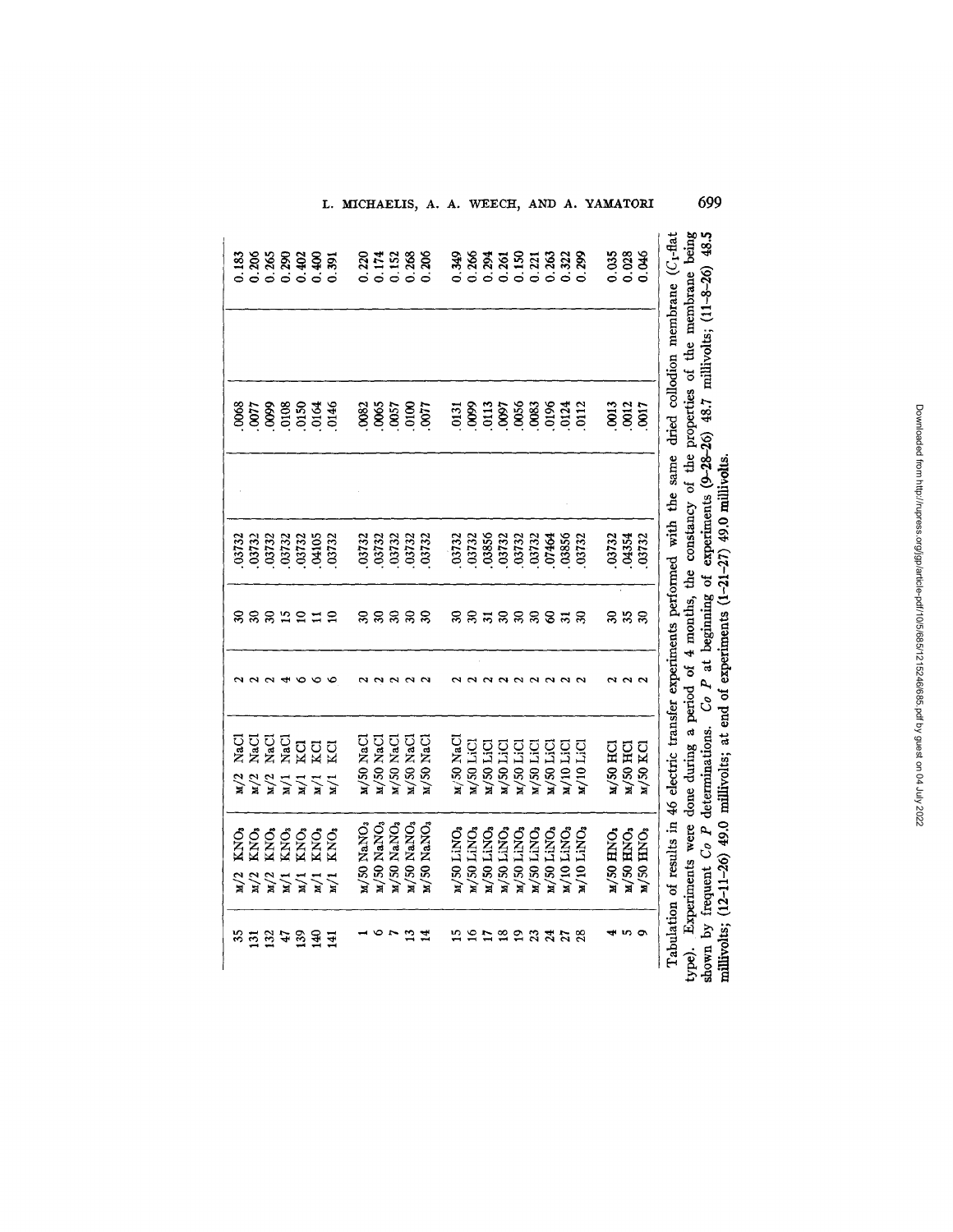| 0.183<br>0068        | 0.206<br>0077    | 0.265<br><b>660</b> | 0.290<br>.0108                                        | 0.402<br>0150               | 0.400<br>.0164                       | 0.391<br>0146                    | 0.220<br>082 | 0.174<br>.0065 | 0.152<br>.0057         | 0.268<br>$\frac{8}{2}$ | 0.206<br>.0077             | 0.349<br>$\overline{0131}$ | 0.266<br>$\frac{8}{3}$ | 0.294<br>$\frac{0113}{2}$ | 0.261<br>600             | 0.150<br>.0056 | 0.221<br>.0083 | 0.263<br>0196 | 0.322<br>0124            | 0.299<br>0112              | <b>OO13</b> | $0.035$<br>$0.028$<br>.0012 | 0.046<br>.0017  |
|----------------------|------------------|---------------------|-------------------------------------------------------|-----------------------------|--------------------------------------|----------------------------------|--------------|----------------|------------------------|------------------------|----------------------------|----------------------------|------------------------|---------------------------|--------------------------|----------------|----------------|---------------|--------------------------|----------------------------|-------------|-----------------------------|-----------------|
| 03732                | .03732           | .03732              | .03732                                                | .03732                      | .04105                               | 03732                            | 03732        | 03732          | 03732                  | 03732                  | 03732                      | 03732                      | 03732                  | .03856                    | .03732                   | .03732         | 03732          | 07464         | 03856                    | 03732                      | .03732      | .04354                      | .03732          |
| g                    |                  |                     | 22555                                                 |                             |                                      | $\Omega$                         |              |                | នននន                   |                        | $\boldsymbol{\mathcal{S}}$ |                            |                        | ននគនននទត                  |                          |                |                |               |                          | $\boldsymbol{\mathcal{S}}$ |             | ននន                         |                 |
|                      |                  |                     |                                                       |                             |                                      |                                  |              |                |                        |                        |                            |                            |                        |                           |                          |                |                |               |                          |                            |             | $\overline{\mathbf{c}}$     | $\sim$          |
| NaCl                 | <b>NaCl</b>      | VaC1                | <b>VaCl</b>                                           | ΣQ                          | KCI                                  | ΚCl<br>M/1                       | M/50 NaCl    | M/50 NaCl      | M/50 NaCl              | M/50 NaCl              | <b>M/50 NaCl</b>           | M/50 NaCl                  | $M/50$ LiCl            | M/50 LiC                  | $M/50$ LiC               | M/50 LiC       | $M/50$ LiC     | $M/50$ LiC    | $M/10$ LiC               | M/10 LiCl                  | M/50 HC     | M/50 HCI                    | M/50 KCl        |
| ŠЮ.<br>$\frac{2}{3}$ | KNO <sub>3</sub> | <b>SNO</b>          | СИ)<br>С<br>$\frac{2}{3}$ $\frac{2}{3}$ $\frac{2}{3}$ | <b>SNO</b><br>$\frac{1}{2}$ | KNO <sub>3</sub><br>$\sum_{i=1}^{n}$ | KNO <sub>3</sub><br>$\mathbf{N}$ | M/50 NaNO3   | M/50 NaNO3     | M/50 NaNO <sub>3</sub> | M/50 NaNO3             | M/50 NaNO3                 | M/50 LINO                  | M/50 LINO              | $\mu$ /50 LiNO            | $M/50$ LiNO <sub>3</sub> | M/50 LINO,     | $M/50$ LiNO    | M/50 LiNO     | $M/10$ LINO <sub>3</sub> | $M/10$ LiNO                | M/50 HNO3   | <b>M/50 HNO3</b>            | <b>M/50 HNO</b> |
| న                    | $\overline{131}$ | 132                 | 47                                                    | $\mathbf{S}^2$              | $\frac{3}{4}$                        | 141                              |              |                |                        |                        |                            |                            | ≌                      |                           | ≌                        | ఇ              | 335            |               |                          | 28                         |             |                             | $\bullet$       |

គ្នី ៖ ~o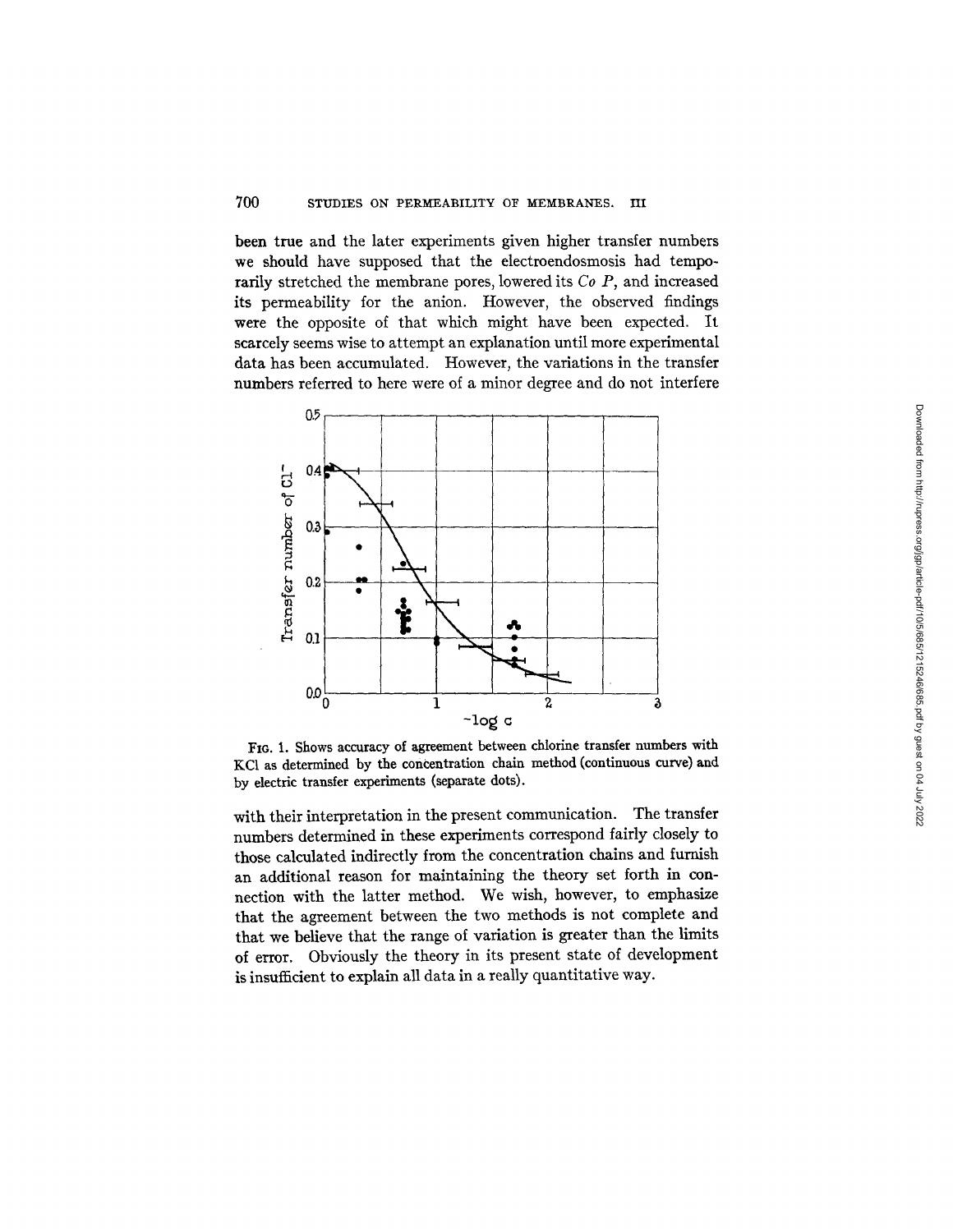been true and the later experiments given higher transfer numbers we should have supposed that the electroendosmosis had temporarily stretched the membrane pores, lowered its *Co P,* and increased its permeability for the anion. However, the observed findings were the opposite of that which might have been expected. It scarcely seems wise to attempt an explanation until more experimental data has been accumulated. However, the variations in the transfer numbers referred to here were of a minor degree and do not interfere



FIG. 1. Shows accuracy of agreement between chlorine transfer numbers with KC1 as determined by the concentration chain method (continuous curve) and by electric transfer experiments (separate dots).

with their interpretation in the present communication. The transfer numbers determined in these experiments correspond fairly closely to those calculated indirectly from the concentration chains and furnish an additional reason for maintaining the theory set forth in connection with the latter method. We wish, however, to emphasize that the agreement between the two methods is not complete and that we believe that the range of variation is greater than the limits of error. Obviously the theory in its present state of development is insufficient to explain all data in a really quantitative way.